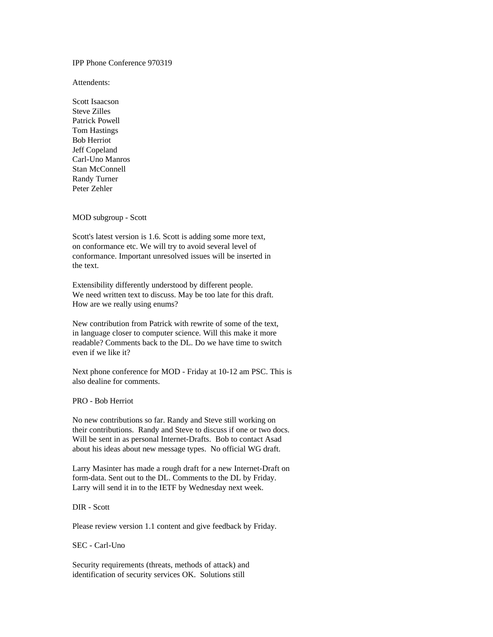IPP Phone Conference 970319

Attendents:

Scott Isaacson Steve Zilles Patrick Powell Tom Hastings Bob Herriot Jeff Copeland Carl-Uno Manros Stan McConnell Randy Turner Peter Zehler

MOD subgroup - Scott

Scott's latest version is 1.6. Scott is adding some more text, on conformance etc. We will try to avoid several level of conformance. Important unresolved issues will be inserted in the text.

Extensibility differently understood by different people. We need written text to discuss. May be too late for this draft. How are we really using enums?

New contribution from Patrick with rewrite of some of the text, in language closer to computer science. Will this make it more readable? Comments back to the DL. Do we have time to switch even if we like it?

Next phone conference for MOD - Friday at 10-12 am PSC. This is also dealine for comments.

PRO - Bob Herriot

No new contributions so far. Randy and Steve still working on their contributions. Randy and Steve to discuss if one or two docs. Will be sent in as personal Internet-Drafts. Bob to contact Asad about his ideas about new message types. No official WG draft.

Larry Masinter has made a rough draft for a new Internet-Draft on form-data. Sent out to the DL. Comments to the DL by Friday. Larry will send it in to the IETF by Wednesday next week.

DIR - Scott

Please review version 1.1 content and give feedback by Friday.

SEC - Carl-Uno

Security requirements (threats, methods of attack) and identification of security services OK. Solutions still